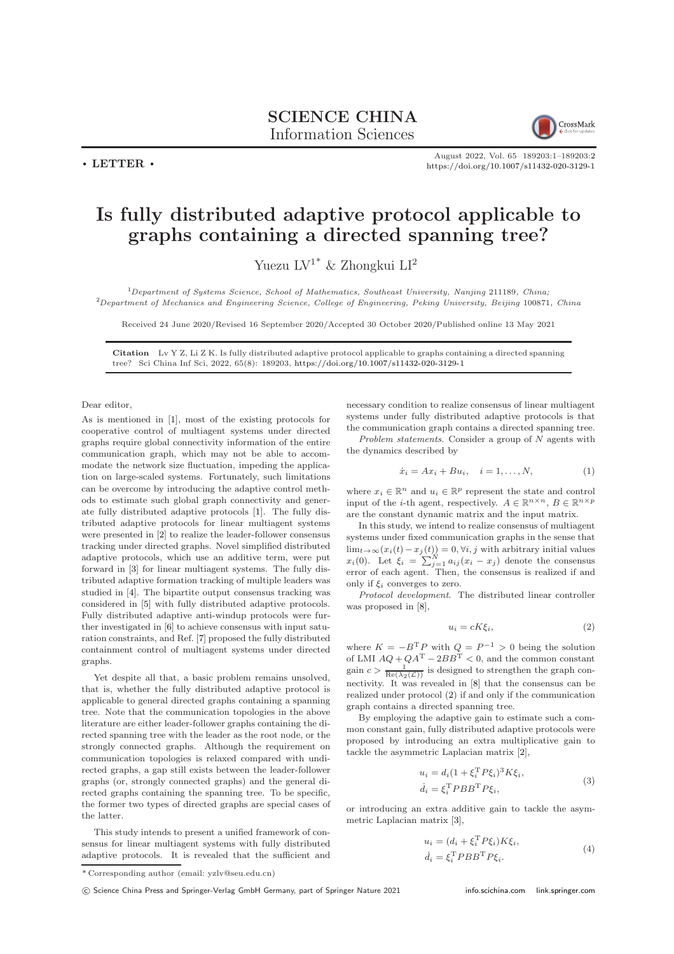

 $\cdot$  LETTER  $\cdot$ 

August 2022, Vol. 65 189203:1–189203[:2](#page-1-0) <https://doi.org/10.1007/s11432-020-3129-1>

## Is fully distributed adaptive protocol applicable to graphs containing a directed spanning tree?

Yuezu ${\rm LV^1}^*$  & Zhongkui ${\rm LI^2}$ 

 $1$ Department of Systems Science, School of Mathematics, Southeast University, Nanjing 211189, China; <sup>2</sup>Department of Mechanics and Engineering Science, College of Engineering, Peking University, Beijing 100871, China

Received 24 June 2020/Revised 16 September 2020/Accepted 30 October 2020/Published online 13 May 2021

Citation Lv Y Z, Li Z K. Is fully distributed adaptive protocol applicable to graphs containing a directed spanning tree? Sci China Inf Sci, 2022, 65(8): 189203, <https://doi.org/10.1007/s11432-020-3129-1>

Dear editor,

As is mentioned in [\[1\]](#page-1-1), most of the existing protocols for cooperative control of multiagent systems under directed graphs require global connectivity information of the entire communication graph, which may not be able to accommodate the network size fluctuation, impeding the application on large-scaled systems. Fortunately, such limitations can be overcome by introducing the adaptive control methods to estimate such global graph connectivity and generate fully distributed adaptive protocols [\[1\]](#page-1-1). The fully distributed adaptive protocols for linear multiagent systems were presented in [\[2\]](#page-1-2) to realize the leader-follower consensus tracking under directed graphs. Novel simplified distributed adaptive protocols, which use an additive term, were put forward in [\[3\]](#page-1-3) for linear multiagent systems. The fully distributed adaptive formation tracking of multiple leaders was studied in [\[4\]](#page-1-4). The bipartite output consensus tracking was considered in [\[5\]](#page-1-5) with fully distributed adaptive protocols. Fully distributed adaptive anti-windup protocols were further investigated in [\[6\]](#page-1-6) to achieve consensus with input saturation constraints, and Ref. [\[7\]](#page-1-7) proposed the fully distributed containment control of multiagent systems under directed graphs.

Yet despite all that, a basic problem remains unsolved, that is, whether the fully distributed adaptive protocol is applicable to general directed graphs containing a spanning tree. Note that the communication topologies in the above literature are either leader-follower graphs containing the directed spanning tree with the leader as the root node, or the strongly connected graphs. Although the requirement on communication topologies is relaxed compared with undirected graphs, a gap still exists between the leader-follower graphs (or, strongly connected graphs) and the general directed graphs containing the spanning tree. To be specific, the former two types of directed graphs are special cases of the latter.

This study intends to present a unified framework of consensus for linear multiagent systems with fully distributed adaptive protocols. It is revealed that the sufficient and necessary condition to realize consensus of linear multiagent systems under fully distributed adaptive protocols is that the communication graph contains a directed spanning tree.

Problem statements. Consider a group of N agents with the dynamics described by

<span id="page-0-1"></span>
$$
\dot{x}_i = Ax_i + Bu_i, \quad i = 1, \dots, N,
$$
\n(1)

where  $x_i \in \mathbb{R}^n$  and  $u_i \in \mathbb{R}^p$  represent the state and control input of the *i*-th agent, respectively.  $A \in \mathbb{R}^{n \times n}$ ,  $B \in \mathbb{R}^{n \times p}$ are the constant dynamic matrix and the input matrix.

In this study, we intend to realize consensus of multiagent systems under fixed communication graphs in the sense that  $\lim_{t\to\infty}(x_i(t)-x_j(t))=0, \forall i, j$  with arbitrary initial values  $x_i(0)$ . Let  $\xi_i = \sum_{j=1}^N a_{ij} (x_i - x_j)$  denote the consensus error of each agent. Then, the consensus is realized if and only if  $\xi_i$  converges to zero.

Protocol development. The distributed linear controller was proposed in [\[8\]](#page-1-8),

<span id="page-0-0"></span>
$$
u_i = cK\xi_i,\tag{2}
$$

where  $K = -B^{T}P$  with  $Q = P^{-1} > 0$  being the solution of LMI  $AQ + QA^T - 2BB^T < 0$ , and the common constant gain  $c > \frac{1}{\text{Re}(\lambda_2(\mathcal{L}))}$  is designed to strengthen the graph connectivity. It was revealed in [\[8\]](#page-1-8) that the consensus can be realized under protocol [\(2\)](#page-0-0) if and only if the communication graph contains a directed spanning tree.

By employing the adaptive gain to estimate such a common constant gain, fully distributed adaptive protocols were proposed by introducing an extra multiplicative gain to tackle the asymmetric Laplacian matrix [\[2\]](#page-1-2),

<span id="page-0-3"></span>
$$
u_i = d_i (1 + \xi_i^{\mathrm{T}} P \xi_i)^3 K \xi_i,
$$
  
\n
$$
\dot{d}_i = \xi_i^{\mathrm{T}} P B B^{\mathrm{T}} P \xi_i,
$$
\n(3)

or introducing an extra additive gain to tackle the asymmetric Laplacian matrix [\[3\]](#page-1-3),

<span id="page-0-2"></span>
$$
u_i = (d_i + \xi_i^{\mathrm{T}} P \xi_i) K \xi_i,
$$
  
\n
$$
\dot{d}_i = \xi_i^{\mathrm{T}} P B B^{\mathrm{T}} P \xi_i.
$$
\n(4)

<sup>\*</sup> Corresponding author (email: yzlv@seu.edu.cn)

c Science China Press and Springer-Verlag GmbH Germany, part of Springer Nature 2021 <info.scichina.com><link.springer.com>